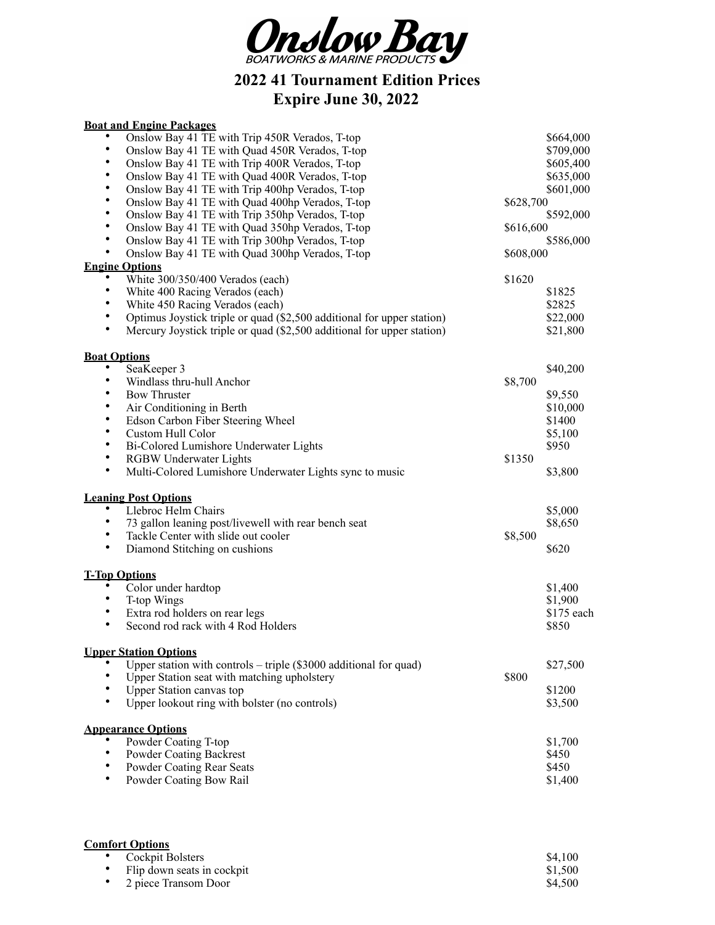

**2022 41 Tournament Edition Prices Expire June 30, 2022**

## **Boat and Engine Packages**

| $\bullet$<br>Onslow Bay 41 TE with Trip 450R Verados, T-top<br>$\bullet$<br>Onslow Bay 41 TE with Quad 450R Verados, T-top<br>$\bullet$<br>Onslow Bay 41 TE with Trip 400R Verados, T-top<br>$\bullet$<br>Onslow Bay 41 TE with Quad 400R Verados, T-top<br>$\bullet$<br>Onslow Bay 41 TE with Trip 400hp Verados, T-top<br>$\bullet$<br>Onslow Bay 41 TE with Quad 400hp Verados, T-top<br>$\bullet$<br>Onslow Bay 41 TE with Trip 350hp Verados, T-top<br>$\bullet$<br>Onslow Bay 41 TE with Quad 350hp Verados, T-top<br>$\bullet$<br>Onslow Bay 41 TE with Trip 300hp Verados, T-top<br>$\bullet$<br>Onslow Bay 41 TE with Quad 300hp Verados, T-top | \$628,700<br>\$616,600<br>\$608,000 | \$664,000<br>\$709,000<br>\$605,400<br>\$635,000<br>\$601,000<br>\$592,000<br>\$586,000 |
|----------------------------------------------------------------------------------------------------------------------------------------------------------------------------------------------------------------------------------------------------------------------------------------------------------------------------------------------------------------------------------------------------------------------------------------------------------------------------------------------------------------------------------------------------------------------------------------------------------------------------------------------------------|-------------------------------------|-----------------------------------------------------------------------------------------|
| <b>Engine Options</b><br>White 300/350/400 Verados (each)<br>$\bullet$<br>White 400 Racing Verados (each)<br>$\bullet$<br>White 450 Racing Verados (each)<br>$\bullet$<br>Optimus Joystick triple or quad (\$2,500 additional for upper station)<br>$\bullet$<br>Mercury Joystick triple or quad (\$2,500 additional for upper station)                                                                                                                                                                                                                                                                                                                  | \$1620                              | \$1825<br>\$2825<br>\$22,000<br>\$21,800                                                |
| <b>Boat Options</b><br>$\bullet$<br>SeaKeeper 3<br>$\bullet$<br>Windlass thru-hull Anchor<br>$\bullet$<br><b>Bow Thruster</b><br>$\bullet$<br>Air Conditioning in Berth<br>$\bullet$<br>Edson Carbon Fiber Steering Wheel<br>$\bullet$<br>Custom Hull Color<br>$\bullet$<br>Bi-Colored Lumishore Underwater Lights<br>$\bullet$<br><b>RGBW Underwater Lights</b><br>$\bullet$<br>Multi-Colored Lumishore Underwater Lights sync to music                                                                                                                                                                                                                 | \$8,700<br>\$1350                   | \$40,200<br>\$9,550<br>\$10,000<br>\$1400<br>\$5,100<br>\$950<br>\$3,800                |
| <b>Leaning Post Options</b><br>Llebroc Helm Chairs<br>$\bullet$<br>٠<br>73 gallon leaning post/livewell with rear bench seat<br>$\bullet$<br>Tackle Center with slide out cooler<br>$\bullet$<br>Diamond Stitching on cushions                                                                                                                                                                                                                                                                                                                                                                                                                           | \$8,500                             | \$5,000<br>\$8,650<br>\$620                                                             |
| <b>T-Top Options</b><br>Color under hardtop<br>$\bullet$<br>T-top Wings<br>$\bullet$<br>Extra rod holders on rear legs<br>$\bullet$<br>Second rod rack with 4 Rod Holders                                                                                                                                                                                                                                                                                                                                                                                                                                                                                |                                     | \$1,400<br>\$1,900<br>\$175 each<br>\$850                                               |
| <b>Upper Station Options</b><br>$\bullet$<br>Upper station with controls $-$ triple (\$3000 additional for quad)<br>Upper Station seat with matching upholstery<br>$\bullet$<br><b>Upper Station canvas top</b><br>$\bullet$<br>Upper lookout ring with bolster (no controls)                                                                                                                                                                                                                                                                                                                                                                            | \$800                               | \$27,500<br>\$1200<br>\$3,500                                                           |
| <b>Appearance Options</b><br>Powder Coating T-top<br>$\bullet$<br><b>Powder Coating Backrest</b><br>$\bullet$<br>Powder Coating Rear Seats<br>$\bullet$<br>Powder Coating Bow Rail                                                                                                                                                                                                                                                                                                                                                                                                                                                                       |                                     | \$1,700<br>\$450<br>\$450<br>\$1,400                                                    |

| <b>Comfort Options</b>       |         |
|------------------------------|---------|
| • Cockpit Bolsters           | \$4.100 |
| • Flip down seats in cockpit | \$1,500 |
| • 2 piece Transom Door       | \$4,500 |